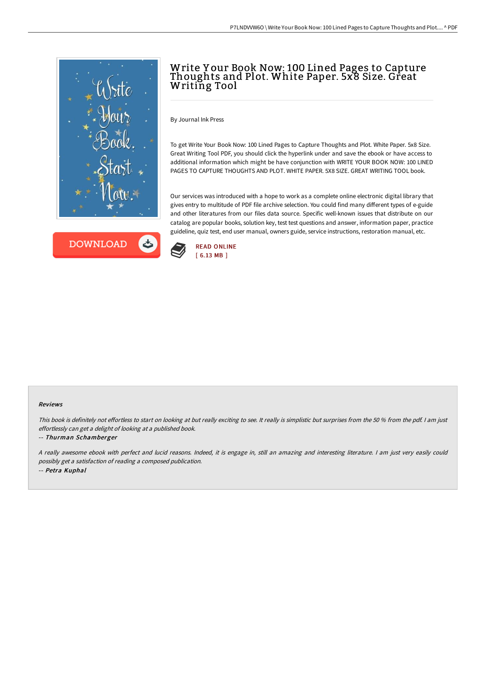



# Write Y our Book Now: 100 Lined Pages to Capture Thoughts and Plot. White Paper. 5x8 Size. Great Writing Tool

By Journal Ink Press

To get Write Your Book Now: 100 Lined Pages to Capture Thoughts and Plot. White Paper. 5x8 Size. Great Writing Tool PDF, you should click the hyperlink under and save the ebook or have access to additional information which might be have conjunction with WRITE YOUR BOOK NOW: 100 LINED PAGES TO CAPTURE THOUGHTS AND PLOT. WHITE PAPER. 5X8 SIZE. GREAT WRITING TOOL book.

Our services was introduced with a hope to work as a complete online electronic digital library that gives entry to multitude of PDF file archive selection. You could find many different types of e-guide and other literatures from our files data source. Specific well-known issues that distribute on our catalog are popular books, solution key, test test questions and answer, information paper, practice guideline, quiz test, end user manual, owners guide, service instructions, restoration manual, etc.



#### Reviews

This book is definitely not effortless to start on looking at but really exciting to see. It really is simplistic but surprises from the 50 % from the pdf. I am just effortlessly can get <sup>a</sup> delight of looking at <sup>a</sup> published book.

#### -- Thurman Schamberger

<sup>A</sup> really awesome ebook with perfect and lucid reasons. Indeed, it is engage in, still an amazing and interesting literature. <sup>I</sup> am just very easily could possibly get <sup>a</sup> satisfaction of reading <sup>a</sup> composed publication. -- Petra Kuphal